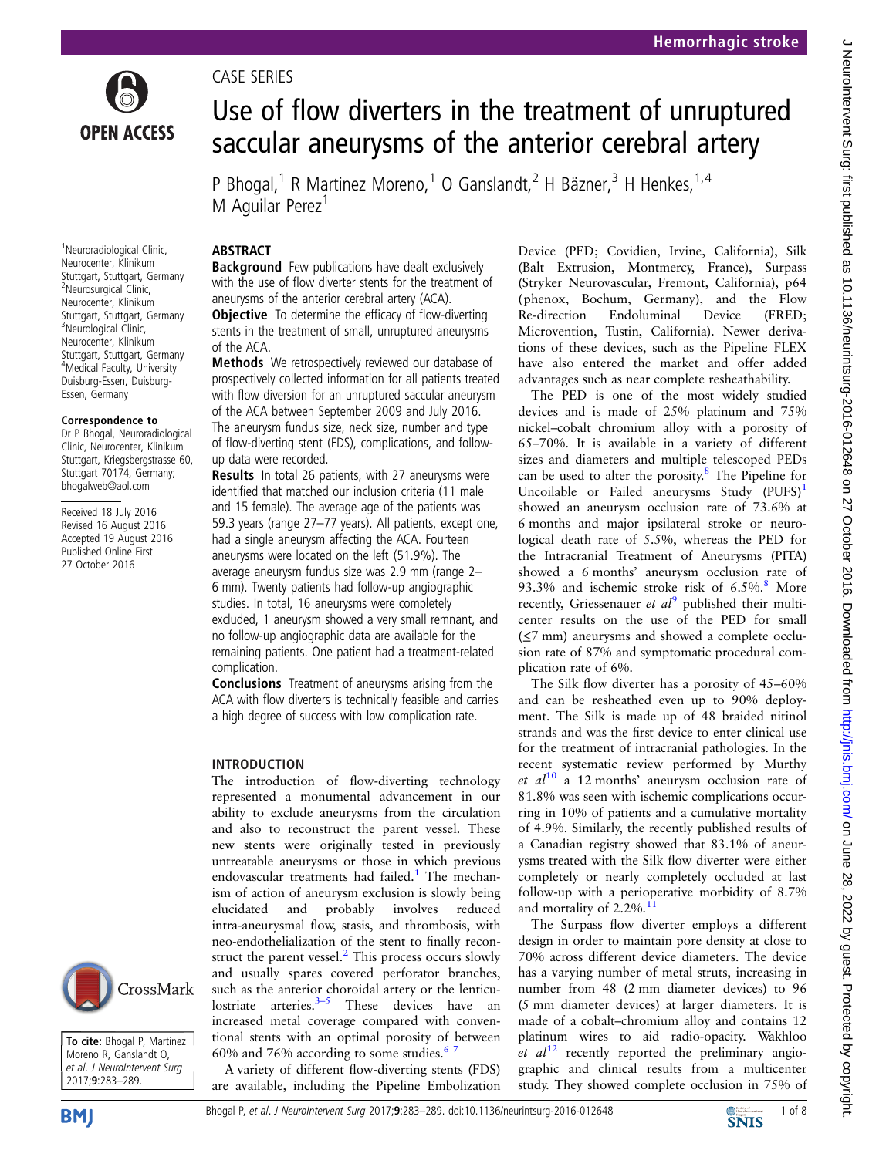

<sup>1</sup>Neuroradiological Clinic, Neurocenter, Klinikum Stuttgart, Stuttgart, Germany <sup>2</sup>Neurosurgical Clinic, Neurocenter, Klinikum Stuttgart, Stuttgart, Germany <sup>3</sup>Neurological Clinic, Neurocenter, Klinikum Stuttgart, Stuttgart, Germany 4 Medical Faculty, University Duisburg-Essen, Duisburg-Essen, Germany

Correspondence to Dr P Bhogal, Neuroradiological Clinic, Neurocenter, Klinikum Stuttgart, Kriegsbergstrasse 60, Stuttgart 70174, Germany; bhogalweb@aol.com Received 18 July 2016 Revised 16 August 2016 Accepted 19 August 2016 Published Online First 27 October 2016

CASE SERIES

# Use of flow diverters in the treatment of unruptured saccular aneurysms of the anterior cerebral artery

P Bhogal,<sup>1</sup> R Martinez Moreno,<sup>1</sup> O Ganslandt,<sup>2</sup> H Bäzner,<sup>3</sup> H Henkes,<sup>1,4</sup> M Aguilar Perez<sup>1</sup>

#### ABSTRACT

Background Few publications have dealt exclusively with the use of flow diverter stents for the treatment of aneurysms of the anterior cerebral artery (ACA).

**Objective** To determine the efficacy of flow-diverting stents in the treatment of small, unruptured aneurysms of the ACA.

Methods We retrospectively reviewed our database of prospectively collected information for all patients treated with flow diversion for an unruptured saccular aneurysm of the ACA between September 2009 and July 2016. The aneurysm fundus size, neck size, number and type of flow-diverting stent (FDS), complications, and followup data were recorded.

Results In total 26 patients, with 27 aneurysms were identified that matched our inclusion criteria (11 male and 15 female). The average age of the patients was 59.3 years (range 27–77 years). All patients, except one, had a single aneurysm affecting the ACA. Fourteen aneurysms were located on the left (51.9%). The average aneurysm fundus size was 2.9 mm (range 2– 6 mm). Twenty patients had follow-up angiographic studies. In total, 16 aneurysms were completely excluded, 1 aneurysm showed a very small remnant, and no follow-up angiographic data are available for the remaining patients. One patient had a treatment-related complication.

Conclusions Treatment of aneurysms arising from the ACA with flow diverters is technically feasible and carries a high degree of success with low complication rate.

#### INTRODUCTION

The introduction of flow-diverting technology represented a monumental advancement in our ability to exclude aneurysms from the circulation and also to reconstruct the parent vessel. These new stents were originally tested in previously untreatable aneurysms or those in which previous endovascular treatments had failed.<sup>[1](#page-6-0)</sup> The mechanism of action of aneurysm exclusion is slowly being elucidated and probably involves reduced intra-aneurysmal flow, stasis, and thrombosis, with neo-endothelialization of the stent to finally recon-struct the parent vessel.<sup>[2](#page-6-0)</sup> This process occurs slowly and usually spares covered perforator branches, such as the anterior choroidal artery or the lenticulostriate arteries. $3-5$  $3-5$  These devices have an increased metal coverage compared with conventional stents with an optimal porosity of between 60% and 76% according to some studies.<sup>67</sup>

A variety of different flow-diverting stents (FDS) are available, including the Pipeline Embolization Device (PED; Covidien, Irvine, California), Silk (Balt Extrusion, Montmercy, France), Surpass (Stryker Neurovascular, Fremont, California), p64 (phenox, Bochum, Germany), and the Flow Re-direction Endoluminal Device (FRED; Microvention, Tustin, California). Newer derivations of these devices, such as the Pipeline FLEX have also entered the market and offer added advantages such as near complete resheathability.

The PED is one of the most widely studied devices and is made of 25% platinum and 75% nickel–cobalt chromium alloy with a porosity of 65–70%. It is available in a variety of different sizes and diameters and multiple telescoped PEDs can be used to alter the porosity.[8](#page-6-0) The Pipeline for Uncoilable or Failed aneurysms Study  $(PUFS)^1$  $(PUFS)^1$ showed an aneurysm occlusion rate of 73.6% at 6 months and major ipsilateral stroke or neurological death rate of 5.5%, whereas the PED for the Intracranial Treatment of Aneurysms (PITA) showed a 6 months' aneurysm occlusion rate of 93.3% and ischemic stroke risk of  $6.5\%$ .<sup>[8](#page-6-0)</sup> More recently, Griessenauer et  $al^9$  $al^9$  published their multicenter results on the use of the PED for small (≤7 mm) aneurysms and showed a complete occlusion rate of 87% and symptomatic procedural complication rate of 6%.

The Silk flow diverter has a porosity of 45–60% and can be resheathed even up to 90% deployment. The Silk is made up of 48 braided nitinol strands and was the first device to enter clinical use for the treatment of intracranial pathologies. In the recent systematic review performed by Murthy et  $al^{10}$  $al^{10}$  $al^{10}$  a 12 months' aneurysm occlusion rate of 81.8% was seen with ischemic complications occurring in 10% of patients and a cumulative mortality of 4.9%. Similarly, the recently published results of a Canadian registry showed that 83.1% of aneurysms treated with the Silk flow diverter were either completely or nearly completely occluded at last follow-up with a perioperative morbidity of 8.7% and mortality of  $2.2\%$ .<sup>1</sup>

The Surpass flow diverter employs a different design in order to maintain pore density at close to 70% across different device diameters. The device has a varying number of metal struts, increasing in number from 48 (2 mm diameter devices) to 96 (5 mm diameter devices) at larger diameters. It is made of a cobalt–chromium alloy and contains 12 platinum wires to aid radio-opacity. Wakhloo et  $al^{12}$  $al^{12}$  $al^{12}$  recently reported the preliminary angiographic and clinical results from a multicenter study. They showed complete occlusion in 75% of



To cite: Bhogal P, Martinez Moreno R, Ganslandt O, et al. J NeuroIntervent Surg 2017;9:283–289.

**BMI** 

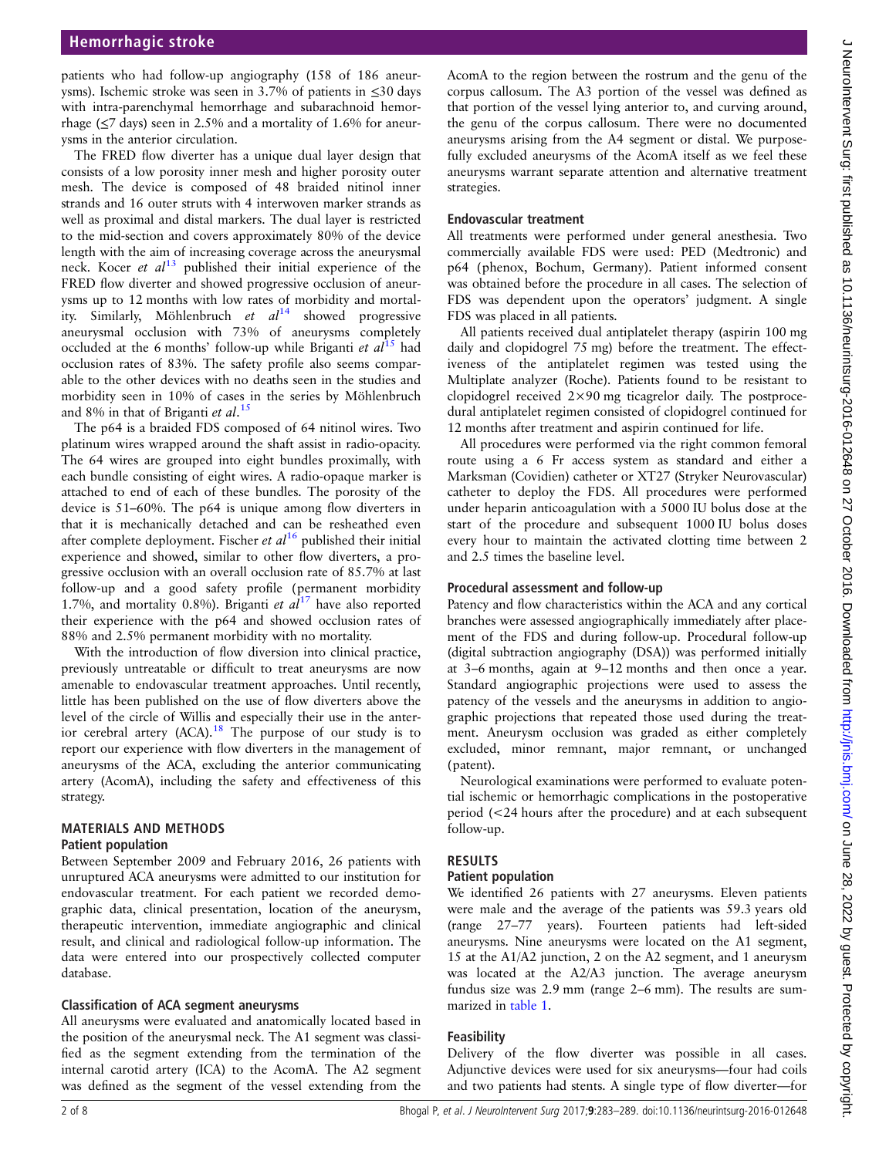patients who had follow-up angiography (158 of 186 aneurysms). Ischemic stroke was seen in 3.7% of patients in ≤30 days with intra-parenchymal hemorrhage and subarachnoid hemorrhage ( $\leq$ 7 days) seen in 2.5% and a mortality of 1.6% for aneurysms in the anterior circulation.

The FRED flow diverter has a unique dual layer design that consists of a low porosity inner mesh and higher porosity outer mesh. The device is composed of 48 braided nitinol inner strands and 16 outer struts with 4 interwoven marker strands as well as proximal and distal markers. The dual layer is restricted to the mid-section and covers approximately 80% of the device length with the aim of increasing coverage across the aneurysmal neck. Kocer *et al*<sup>[13](#page-6-0)</sup> published their initial experience of the FRED flow diverter and showed progressive occlusion of aneurysms up to 12 months with low rates of morbidity and mortality. Similarly, Möhlenbruch et  $al^{14}$  $al^{14}$  $al^{14}$  showed progressive aneurysmal occlusion with 73% of aneurysms completely occluded at the 6 months' follow-up while Briganti et  $al^{15}$  $al^{15}$  $al^{15}$  had occlusion rates of 83%. The safety profile also seems comparable to the other devices with no deaths seen in the studies and morbidity seen in 10% of cases in the series by Möhlenbruch and 8% in that of Briganti et al.<sup>[15](#page-6-0)</sup>

The p64 is a braided FDS composed of 64 nitinol wires. Two platinum wires wrapped around the shaft assist in radio-opacity. The 64 wires are grouped into eight bundles proximally, with each bundle consisting of eight wires. A radio-opaque marker is attached to end of each of these bundles. The porosity of the device is 51–60%. The p64 is unique among flow diverters in that it is mechanically detached and can be resheathed even after complete deployment. Fischer et  $al^{16}$  $al^{16}$  $al^{16}$  published their initial experience and showed, similar to other flow diverters, a progressive occlusion with an overall occlusion rate of 85.7% at last follow-up and a good safety profile (permanent morbidity 1.7%, and mortality 0.8%). Briganti et  $al^{17}$  $al^{17}$  $al^{17}$  have also reported their experience with the p64 and showed occlusion rates of 88% and 2.5% permanent morbidity with no mortality.

With the introduction of flow diversion into clinical practice, previously untreatable or difficult to treat aneurysms are now amenable to endovascular treatment approaches. Until recently, little has been published on the use of flow diverters above the level of the circle of Willis and especially their use in the anterior cerebral artery  $(ACA).$ <sup>[18](#page-6-0)</sup> The purpose of our study is to report our experience with flow diverters in the management of aneurysms of the ACA, excluding the anterior communicating artery (AcomA), including the safety and effectiveness of this strategy.

# MATERIALS AND METHODS

#### Patient population

Between September 2009 and February 2016, 26 patients with unruptured ACA aneurysms were admitted to our institution for endovascular treatment. For each patient we recorded demographic data, clinical presentation, location of the aneurysm, therapeutic intervention, immediate angiographic and clinical result, and clinical and radiological follow-up information. The data were entered into our prospectively collected computer database.

#### Classification of ACA segment aneurysms

All aneurysms were evaluated and anatomically located based in the position of the aneurysmal neck. The A1 segment was classified as the segment extending from the termination of the internal carotid artery (ICA) to the AcomA. The A2 segment was defined as the segment of the vessel extending from the

AcomA to the region between the rostrum and the genu of the corpus callosum. The A3 portion of the vessel was defined as that portion of the vessel lying anterior to, and curving around, the genu of the corpus callosum. There were no documented aneurysms arising from the A4 segment or distal. We purposefully excluded aneurysms of the AcomA itself as we feel these aneurysms warrant separate attention and alternative treatment strategies.

#### Endovascular treatment

All treatments were performed under general anesthesia. Two commercially available FDS were used: PED (Medtronic) and p64 (phenox, Bochum, Germany). Patient informed consent was obtained before the procedure in all cases. The selection of FDS was dependent upon the operators' judgment. A single FDS was placed in all patients.

All patients received dual antiplatelet therapy (aspirin 100 mg daily and clopidogrel 75 mg) before the treatment. The effectiveness of the antiplatelet regimen was tested using the Multiplate analyzer (Roche). Patients found to be resistant to clopidogrel received 2×90 mg ticagrelor daily. The postprocedural antiplatelet regimen consisted of clopidogrel continued for 12 months after treatment and aspirin continued for life.

All procedures were performed via the right common femoral route using a 6 Fr access system as standard and either a Marksman (Covidien) catheter or XT27 (Stryker Neurovascular) catheter to deploy the FDS. All procedures were performed under heparin anticoagulation with a 5000 IU bolus dose at the start of the procedure and subsequent 1000 IU bolus doses every hour to maintain the activated clotting time between 2 and 2.5 times the baseline level.

#### Procedural assessment and follow-up

Patency and flow characteristics within the ACA and any cortical branches were assessed angiographically immediately after placement of the FDS and during follow-up. Procedural follow-up (digital subtraction angiography (DSA)) was performed initially at 3–6 months, again at 9–12 months and then once a year. Standard angiographic projections were used to assess the patency of the vessels and the aneurysms in addition to angiographic projections that repeated those used during the treatment. Aneurysm occlusion was graded as either completely excluded, minor remnant, major remnant, or unchanged (patent).

Neurological examinations were performed to evaluate potential ischemic or hemorrhagic complications in the postoperative period (<24 hours after the procedure) and at each subsequent follow-up.

#### RESULTS

### Patient population

We identified 26 patients with 27 aneurysms. Eleven patients were male and the average of the patients was 59.3 years old (range 27–77 years). Fourteen patients had left-sided aneurysms. Nine aneurysms were located on the A1 segment, 15 at the A1/A2 junction, 2 on the A2 segment, and 1 aneurysm was located at the A2/A3 junction. The average aneurysm fundus size was 2.9 mm (range 2–6 mm). The results are summarized in [table 1.](#page-2-0)

#### Feasibility

Delivery of the flow diverter was possible in all cases. Adjunctive devices were used for six aneurysms—four had coils and two patients had stents. A single type of flow diverter—for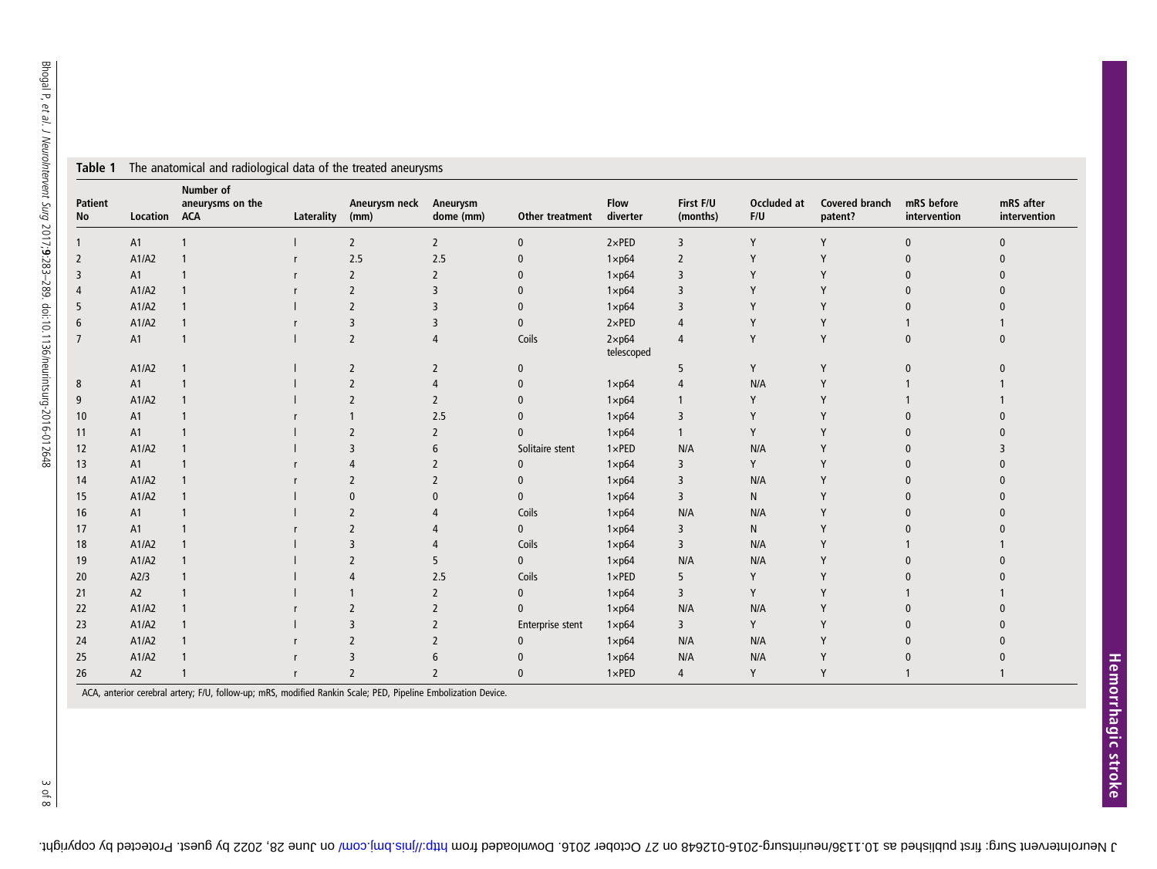|                      |                | rasie i The anatomical and radiological data of the treated anearyonis |            |                       |                          |                  |                              |                       |                    |                           |                            |                           |
|----------------------|----------------|------------------------------------------------------------------------|------------|-----------------------|--------------------------|------------------|------------------------------|-----------------------|--------------------|---------------------------|----------------------------|---------------------------|
| <b>Patient</b><br>No | Location       | Number of<br>aneurysms on the<br><b>ACA</b>                            | Laterality | Aneurysm neck<br>(mm) | Aneurysm<br>dome (mm)    | Other treatment  | <b>Flow</b><br>diverter      | First F/U<br>(months) | Occluded at<br>F/U | Covered branch<br>patent? | mRS before<br>intervention | mRS after<br>intervention |
|                      | A1             |                                                                        |            | $\overline{2}$        | $\overline{2}$           | $\pmb{0}$        | $2 \times PED$               | 3                     | Y                  | Y                         | $\mathbf{0}$               | $\mathbf{0}$              |
| 2                    | A1/A2          |                                                                        |            | 2.5                   | 2.5                      | $\pmb{0}$        | $1 \times p64$               | $\overline{2}$        | Y                  | Y                         |                            | $\Omega$                  |
| 3                    | A1             |                                                                        |            | $\overline{2}$        | $\overline{2}$           | $\mathbf{0}$     | $1 \times p64$               | $\overline{3}$        |                    |                           |                            |                           |
| 4                    | A1/A2          |                                                                        |            | $\overline{2}$        | 3                        | $\mathbf{0}$     | $1 \times p64$               | $\overline{3}$        |                    |                           |                            |                           |
| 5                    | A1/A2          |                                                                        |            | $\overline{2}$        |                          | $\mathbf{0}$     | $1 \times p64$               | $\overline{3}$        |                    |                           |                            |                           |
| 6                    | A1/A2          |                                                                        |            | 3                     | 3                        | $\mathbf{0}$     | $2 \times PED$               | 4                     |                    |                           |                            |                           |
|                      | A1             |                                                                        |            | $\overline{2}$        | 4                        | Coils            | $2 \times p64$<br>telescoped | 4                     | Y                  | Y                         |                            |                           |
|                      | A1/A2          |                                                                        |            | $\overline{2}$        | $\overline{2}$           | $\mathbf{0}$     |                              | 5                     | Y                  | Y                         |                            |                           |
| 8                    | A1             |                                                                        |            | $\overline{2}$        | 4                        | $\mathbf{0}$     | $1 \times p64$               | 4                     | N/A                | Y                         |                            |                           |
| 9                    | A1/A2          |                                                                        |            | $\overline{2}$        | $\overline{\phantom{0}}$ | $\mathbf{0}$     | $1 \times p64$               |                       | Υ                  |                           |                            |                           |
| 10                   | A1             |                                                                        |            |                       | 2.5                      | $\mathbf{0}$     | $1 \times p64$               | $\overline{3}$        |                    |                           |                            |                           |
| 11                   | A <sub>1</sub> |                                                                        |            | $\overline{2}$        | $\overline{2}$           | $\mathbf{0}$     | $1 \times p64$               | $\mathbf{1}$          | Y                  |                           |                            |                           |
| 12                   | A1/A2          |                                                                        |            | $\overline{3}$        | 6                        | Solitaire stent  | $1 \times PED$               | N/A                   | N/A                |                           |                            |                           |
| 13                   | A1             |                                                                        |            | 4                     | $\overline{2}$           | $\bf{0}$         | $1 \times p64$               | 3                     | Y                  |                           |                            |                           |
| 14                   | A1/A2          |                                                                        |            | $\overline{2}$        | $\overline{2}$           | $\mathbf{0}$     | $1 \times p64$               | $\overline{3}$        | N/A                |                           |                            |                           |
| 15                   | A1/A2          |                                                                        |            | $\Omega$              | $\mathbf{0}$             | $\mathbf{0}$     | $1 \times p64$               | $\overline{3}$        | $\mathsf{N}$       |                           |                            |                           |
| 16                   | A1             |                                                                        |            | $\overline{2}$        |                          | Coils            | $1 \times p64$               | N/A                   | N/A                |                           |                            |                           |
| 17                   | A1             |                                                                        |            | $\overline{2}$        |                          | $\mathbf{0}$     | $1 \times p64$               | 3                     | N                  |                           |                            |                           |
| 18                   | A1/A2          |                                                                        |            | $\overline{3}$        |                          | Coils            | $1 \times p64$               | $\overline{3}$        | N/A                |                           |                            |                           |
| 19                   | A1/A2          |                                                                        |            | $\overline{2}$        | 5                        | $\mathbf{0}$     | $1 \times p64$               | N/A                   | N/A                |                           |                            |                           |
| 20                   | A2/3           |                                                                        |            | $\overline{4}$        | 2.5                      | Coils            | $1 \times PED$               | 5                     | Y                  |                           |                            |                           |
| 21                   | A2             |                                                                        |            |                       | $\overline{2}$           | $\mathbf 0$      | $1 \times p64$               | $\overline{3}$        | Y                  |                           |                            |                           |
| 22                   | A1/A2          |                                                                        |            | $\overline{2}$        | 2                        | $\mathbf{0}$     | $1 \times p64$               | N/A                   | N/A                |                           |                            |                           |
| 23                   | A1/A2          |                                                                        |            | 3                     |                          | Enterprise stent | $1 \times p64$               | $\overline{3}$        | Y                  |                           |                            |                           |
| 24                   | A1/A2          |                                                                        |            | $\overline{2}$        | $\overline{2}$           | $\bf{0}$         | $1 \times p64$               | N/A                   | N/A                |                           |                            |                           |
| 25                   | A1/A2          |                                                                        |            | 3                     | 6                        | $\mathbf{0}$     | $1 \times p64$               | N/A                   | N/A                | Y                         |                            |                           |
| 26                   | A2             |                                                                        |            | $\overline{2}$        | $\overline{\phantom{0}}$ | $\Omega$         | $1 \times PED$               | $\overline{4}$        | Y                  | Y                         |                            |                           |

<span id="page-2-0"></span>Table 1 The anatomical and radiological data of the treated aneurysms

ACA, anterior cerebral artery; F/U, follow-up; mRS, modified Rankin Scale; PED, Pipeline Embolization Device.

3 of 8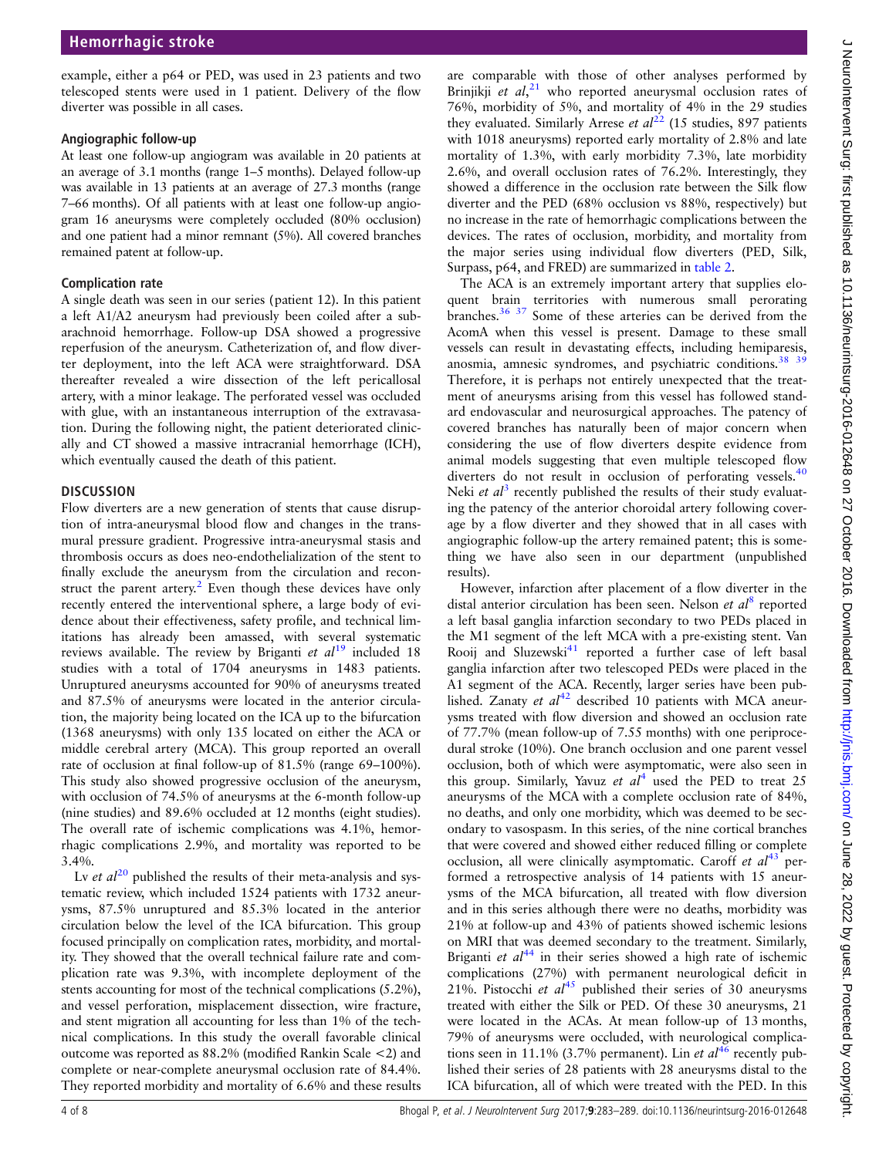$\overline{C}$ 

example, either a p64 or PED, was used in 23 patients and two telescoped stents were used in 1 patient. Delivery of the flow diverter was possible in all cases.

#### Angiographic follow-up

At least one follow-up angiogram was available in 20 patients at an average of 3.1 months (range 1–5 months). Delayed follow-up was available in 13 patients at an average of 27.3 months (range 7–66 months). Of all patients with at least one follow-up angiogram 16 aneurysms were completely occluded (80% occlusion) and one patient had a minor remnant (5%). All covered branches remained patent at follow-up.

#### Complication rate

A single death was seen in our series (patient 12). In this patient a left A1/A2 aneurysm had previously been coiled after a subarachnoid hemorrhage. Follow-up DSA showed a progressive reperfusion of the aneurysm. Catheterization of, and flow diverter deployment, into the left ACA were straightforward. DSA thereafter revealed a wire dissection of the left pericallosal artery, with a minor leakage. The perforated vessel was occluded with glue, with an instantaneous interruption of the extravasation. During the following night, the patient deteriorated clinically and CT showed a massive intracranial hemorrhage (ICH), which eventually caused the death of this patient.

# **DISCUSSION**

Flow diverters are a new generation of stents that cause disruption of intra-aneurysmal blood flow and changes in the transmural pressure gradient. Progressive intra-aneurysmal stasis and thrombosis occurs as does neo-endothelialization of the stent to finally exclude the aneurysm from the circulation and recon-struct the parent artery.<sup>[2](#page-6-0)</sup> Even though these devices have only recently entered the interventional sphere, a large body of evidence about their effectiveness, safety profile, and technical limitations has already been amassed, with several systematic reviews available. The review by Briganti et  $al^{19}$  $al^{19}$  $al^{19}$  included 18 studies with a total of 1704 aneurysms in 1483 patients. Unruptured aneurysms accounted for 90% of aneurysms treated and 87.5% of aneurysms were located in the anterior circulation, the majority being located on the ICA up to the bifurcation (1368 aneurysms) with only 135 located on either the ACA or middle cerebral artery (MCA). This group reported an overall rate of occlusion at final follow-up of 81.5% (range 69–100%). This study also showed progressive occlusion of the aneurysm, with occlusion of 74.5% of aneurysms at the 6-month follow-up (nine studies) and 89.6% occluded at 12 months (eight studies). The overall rate of ischemic complications was 4.1%, hemorrhagic complications 2.9%, and mortality was reported to be 3.4%.

Lv et  $al^{20}$  $al^{20}$  $al^{20}$  published the results of their meta-analysis and systematic review, which included 1524 patients with 1732 aneurysms, 87.5% unruptured and 85.3% located in the anterior circulation below the level of the ICA bifurcation. This group focused principally on complication rates, morbidity, and mortality. They showed that the overall technical failure rate and complication rate was 9.3%, with incomplete deployment of the stents accounting for most of the technical complications (5.2%), and vessel perforation, misplacement dissection, wire fracture, and stent migration all accounting for less than 1% of the technical complications. In this study the overall favorable clinical outcome was reported as 88.2% (modified Rankin Scale <2) and complete or near-complete aneurysmal occlusion rate of 84.4%. They reported morbidity and mortality of 6.6% and these results

are comparable with those of other analyses performed by Brinjikji et  $al$ ,<sup>[21](#page-6-0)</sup> who reported aneurysmal occlusion rates of 76%, morbidity of 5%, and mortality of 4% in the 29 studies they evaluated. Similarly Arrese et  $al^{22}$  $al^{22}$  $al^{22}$  (15 studies, 897 patients with 1018 aneurysms) reported early mortality of 2.8% and late mortality of 1.3%, with early morbidity 7.3%, late morbidity 2.6%, and overall occlusion rates of 76.2%. Interestingly, they showed a difference in the occlusion rate between the Silk flow diverter and the PED (68% occlusion vs 88%, respectively) but no increase in the rate of hemorrhagic complications between the devices. The rates of occlusion, morbidity, and mortality from the major series using individual flow diverters (PED, Silk, Surpass, p64, and FRED) are summarized in [table 2.](#page-4-0)

The ACA is an extremely important artery that supplies eloquent brain territories with numerous small perorating branches.[36 37](#page-6-0) Some of these arteries can be derived from the AcomA when this vessel is present. Damage to these small vessels can result in devastating effects, including hemiparesis, anosmia, amnesic syndromes, and psychiatric conditions.<sup>38</sup> <sup>39</sup> Therefore, it is perhaps not entirely unexpected that the treatment of aneurysms arising from this vessel has followed standard endovascular and neurosurgical approaches. The patency of covered branches has naturally been of major concern when considering the use of flow diverters despite evidence from animal models suggesting that even multiple telescoped flow diverters do not result in occlusion of perforating vessels.<sup>[40](#page-6-0)</sup> Neki et  $a^3$  $a^3$  recently published the results of their study evaluating the patency of the anterior choroidal artery following coverage by a flow diverter and they showed that in all cases with angiographic follow-up the artery remained patent; this is something we have also seen in our department (unpublished results).

However, infarction after placement of a flow diverter in the distal anterior circulation has been seen. Nelson et  $al<sup>8</sup>$  $al<sup>8</sup>$  $al<sup>8</sup>$  reported a left basal ganglia infarction secondary to two PEDs placed in the M1 segment of the left MCA with a pre-existing stent. Van Rooij and Sluzewski $^{41}$  $^{41}$  $^{41}$  reported a further case of left basal ganglia infarction after two telescoped PEDs were placed in the A1 segment of the ACA. Recently, larger series have been published. Zanaty et  $al^{42}$  $al^{42}$  $al^{42}$  described 10 patients with MCA aneurysms treated with flow diversion and showed an occlusion rate of 77.7% (mean follow-up of 7.55 months) with one periprocedural stroke (10%). One branch occlusion and one parent vessel occlusion, both of which were asymptomatic, were also seen in this group. Similarly, Yavuz et  $al<sup>4</sup>$  $al<sup>4</sup>$  $al<sup>4</sup>$  used the PED to treat 25 aneurysms of the MCA with a complete occlusion rate of 84%, no deaths, and only one morbidity, which was deemed to be secondary to vasospasm. In this series, of the nine cortical branches that were covered and showed either reduced filling or complete occlusion, all were clinically asymptomatic. Caroff et  $al^{43}$  $al^{43}$  $al^{43}$  performed a retrospective analysis of 14 patients with 15 aneurysms of the MCA bifurcation, all treated with flow diversion and in this series although there were no deaths, morbidity was 21% at follow-up and 43% of patients showed ischemic lesions on MRI that was deemed secondary to the treatment. Similarly, Briganti et  $al^{44}$  $al^{44}$  $al^{44}$  in their series showed a high rate of ischemic complications (27%) with permanent neurological deficit in 21%. Pistocchi et  $al^{45}$  $al^{45}$  $al^{45}$  published their series of 30 aneurysms treated with either the Silk or PED. Of these 30 aneurysms, 21 were located in the ACAs. At mean follow-up of 13 months, 79% of aneurysms were occluded, with neurological complications seen in 11.1% (3.7% permanent). Lin et  $al^{46}$  $al^{46}$  $al^{46}$  recently published their series of 28 patients with 28 aneurysms distal to the ICA bifurcation, all of which were treated with the PED. In this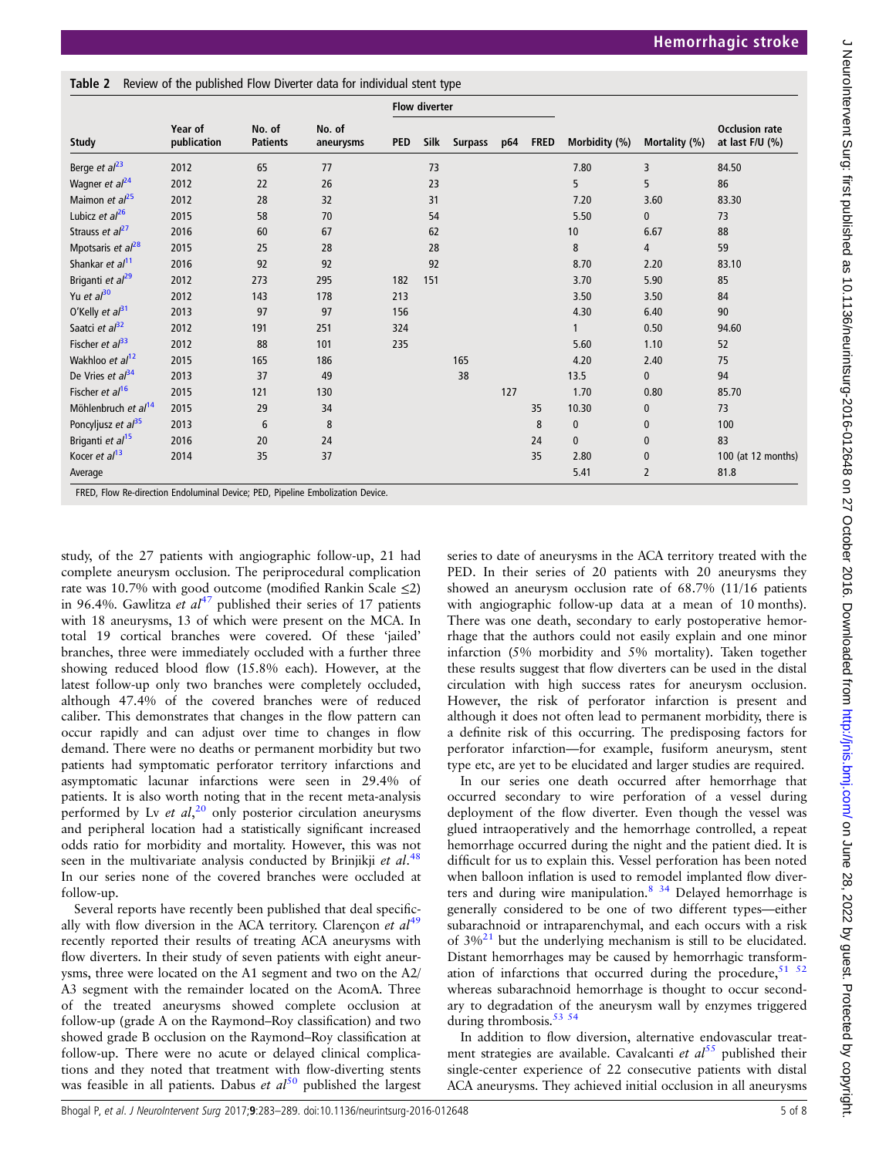<span id="page-4-0"></span>Table 2 Review of the published Flow Diverter data for individual stent type

| <b>Study</b>                    | Year of<br>publication |                           | No. of    |     |      |                |     |             |               | Mortality (%)  |                                            |
|---------------------------------|------------------------|---------------------------|-----------|-----|------|----------------|-----|-------------|---------------|----------------|--------------------------------------------|
|                                 |                        | No. of<br><b>Patients</b> | aneurysms | PED | Silk | <b>Surpass</b> | p64 | <b>FRED</b> | Morbidity (%) |                | <b>Occlusion rate</b><br>at last $F/U$ (%) |
| Berge <i>et</i> $al23$          | 2012                   | 65                        | 77        |     | 73   |                |     |             | 7.80          | 3              | 84.50                                      |
| Wagner et al <sup>24</sup>      | 2012                   | 22                        | 26        |     | 23   |                |     |             | 5             | 5              | 86                                         |
| Maimon et $al^{25}$             | 2012                   | 28                        | 32        |     | 31   |                |     |             | 7.20          | 3.60           | 83.30                                      |
| Lubicz et $al^{26}$             | 2015                   | 58                        | 70        |     | 54   |                |     |             | 5.50          | $\mathbf{0}$   | 73                                         |
| Strauss et al <sup>27</sup>     | 2016                   | 60                        | 67        |     | 62   |                |     |             | 10            | 6.67           | 88                                         |
| Mpotsaris et al <sup>28</sup>   | 2015                   | 25                        | 28        |     | 28   |                |     |             | 8             | $\overline{4}$ | 59                                         |
| Shankar et al <sup>11</sup>     | 2016                   | 92                        | 92        |     | 92   |                |     |             | 8.70          | 2.20           | 83.10                                      |
| Briganti et al <sup>29</sup>    | 2012                   | 273                       | 295       | 182 | 151  |                |     |             | 3.70          | 5.90           | 85                                         |
| Yu et $a^{30}$                  | 2012                   | 143                       | 178       | 213 |      |                |     |             | 3.50          | 3.50           | 84                                         |
| O'Kelly et al <sup>31</sup>     | 2013                   | 97                        | 97        | 156 |      |                |     |             | 4.30          | 6.40           | 90                                         |
| Saatci et al <sup>32</sup>      | 2012                   | 191                       | 251       | 324 |      |                |     |             |               | 0.50           | 94.60                                      |
| Fischer et $al33$               | 2012                   | 88                        | 101       | 235 |      |                |     |             | 5.60          | 1.10           | 52                                         |
| Wakhloo et al <sup>12</sup>     | 2015                   | 165                       | 186       |     |      | 165            |     |             | 4.20          | 2.40           | 75                                         |
| De Vries et al <sup>34</sup>    | 2013                   | 37                        | 49        |     |      | 38             |     |             | 13.5          | $\mathbf{0}$   | 94                                         |
| Fischer et al <sup>16</sup>     | 2015                   | 121                       | 130       |     |      |                | 127 |             | 1.70          | 0.80           | 85.70                                      |
| Möhlenbruch et al <sup>14</sup> | 2015                   | 29                        | 34        |     |      |                |     | 35          | 10.30         | $\mathbf{0}$   | 73                                         |
| Poncyljusz et $al^{35}$         | 2013                   | 6                         | 8         |     |      |                |     | 8           | $\mathbf{0}$  | $\mathbf{0}$   | 100                                        |
| Briganti et al <sup>15</sup>    | 2016                   | 20                        | 24        |     |      |                |     | 24          | $\mathbf{0}$  | $\mathbf{0}$   | 83                                         |
| Kocer et al <sup>13</sup>       | 2014                   | 35                        | 37        |     |      |                |     | 35          | 2.80          | $\mathbf{0}$   | 100 (at 12 months)                         |
| Average                         |                        |                           |           |     |      |                |     |             | 5.41          | $\overline{2}$ | 81.8                                       |

study, of the 27 patients with angiographic follow-up, 21 had complete aneurysm occlusion. The periprocedural complication rate was 10.7% with good outcome (modified Rankin Scale ≤2) in 96.4%. Gawlitza et  $al^{47}$  $al^{47}$  $al^{47}$  published their series of 17 patients with 18 aneurysms, 13 of which were present on the MCA. In total 19 cortical branches were covered. Of these 'jailed' branches, three were immediately occluded with a further three showing reduced blood flow (15.8% each). However, at the latest follow-up only two branches were completely occluded, although 47.4% of the covered branches were of reduced caliber. This demonstrates that changes in the flow pattern can occur rapidly and can adjust over time to changes in flow demand. There were no deaths or permanent morbidity but two patients had symptomatic perforator territory infarctions and asymptomatic lacunar infarctions were seen in 29.4% of patients. It is also worth noting that in the recent meta-analysis performed by Lv et  $al$ ,<sup>[20](#page-6-0)</sup> only posterior circulation aneurysms and peripheral location had a statistically significant increased odds ratio for morbidity and mortality. However, this was not seen in the multivariate analysis conducted by Brinjikji et al.<sup>[48](#page-6-0)</sup> In our series none of the covered branches were occluded at follow-up.

Several reports have recently been published that deal specifically with flow diversion in the ACA territory. Clarençon et  $al^{49}$  $al^{49}$  $al^{49}$ recently reported their results of treating ACA aneurysms with flow diverters. In their study of seven patients with eight aneurysms, three were located on the A1 segment and two on the A2/ A3 segment with the remainder located on the AcomA. Three of the treated aneurysms showed complete occlusion at follow-up (grade A on the Raymond–Roy classification) and two showed grade B occlusion on the Raymond–Roy classification at follow-up. There were no acute or delayed clinical complications and they noted that treatment with flow-diverting stents was feasible in all patients. Dabus et  $al^{50}$  $al^{50}$  $al^{50}$  published the largest

series to date of aneurysms in the ACA territory treated with the PED. In their series of 20 patients with 20 aneurysms they showed an aneurysm occlusion rate of 68.7% (11/16 patients with angiographic follow-up data at a mean of 10 months). There was one death, secondary to early postoperative hemorrhage that the authors could not easily explain and one minor infarction (5% morbidity and 5% mortality). Taken together these results suggest that flow diverters can be used in the distal circulation with high success rates for aneurysm occlusion. However, the risk of perforator infarction is present and although it does not often lead to permanent morbidity, there is a definite risk of this occurring. The predisposing factors for perforator infarction—for example, fusiform aneurysm, stent type etc, are yet to be elucidated and larger studies are required.

In our series one death occurred after hemorrhage that occurred secondary to wire perforation of a vessel during deployment of the flow diverter. Even though the vessel was glued intraoperatively and the hemorrhage controlled, a repeat hemorrhage occurred during the night and the patient died. It is difficult for us to explain this. Vessel perforation has been noted when balloon inflation is used to remodel implanted flow diverters and during wire manipulation.<sup>8</sup> <sup>34</sup> Delayed hemorrhage is generally considered to be one of two different types—either subarachnoid or intraparenchymal, and each occurs with a risk of  $3\%^{21}$  $3\%^{21}$  $3\%^{21}$  but the underlying mechanism is still to be elucidated. Distant hemorrhages may be caused by hemorrhagic transformation of infarctions that occurred during the procedure,  $51$   $52$ whereas subarachnoid hemorrhage is thought to occur secondary to degradation of the aneurysm wall by enzymes triggered during thrombosis. $53\,54$ 

In addition to flow diversion, alternative endovascular treatment strategies are available. Cavalcanti et  $al^{55}$  $al^{55}$  $al^{55}$  published their single-center experience of 22 consecutive patients with distal ACA aneurysms. They achieved initial occlusion in all aneurysms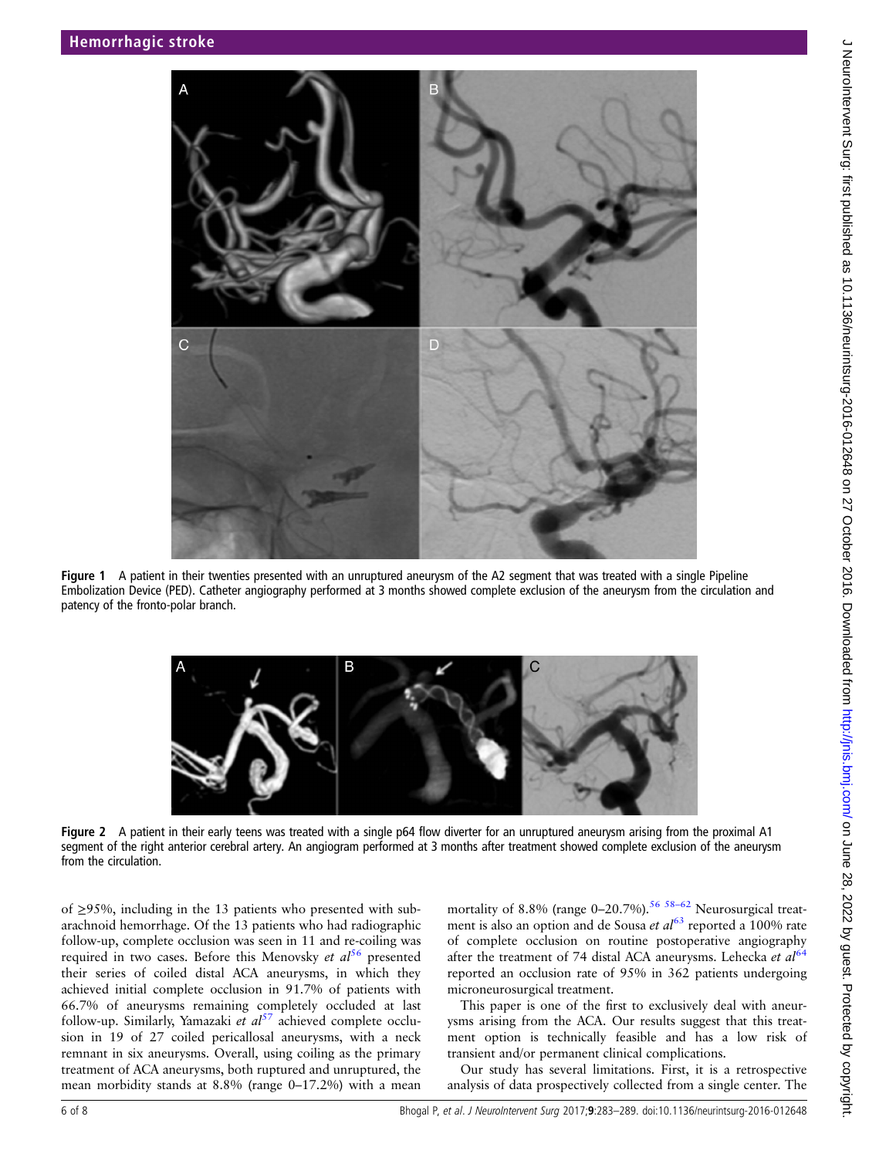

Figure 1 A patient in their twenties presented with an unruptured aneurysm of the A2 segment that was treated with a single Pipeline Embolization Device (PED). Catheter angiography performed at 3 months showed complete exclusion of the aneurysm from the circulation and patency of the fronto-polar branch.



Figure 2 A patient in their early teens was treated with a single p64 flow diverter for an unruptured aneurysm arising from the proximal A1 segment of the right anterior cerebral artery. An angiogram performed at 3 months after treatment showed complete exclusion of the aneurysm from the circulation.

of ≥95%, including in the 13 patients who presented with subarachnoid hemorrhage. Of the 13 patients who had radiographic follow-up, complete occlusion was seen in 11 and re-coiling was required in two cases. Before this Menovsky et  $al<sup>56</sup>$  $al<sup>56</sup>$  $al<sup>56</sup>$  presented their series of coiled distal ACA aneurysms, in which they achieved initial complete occlusion in 91.7% of patients with 66.7% of aneurysms remaining completely occluded at last follow-up. Similarly, Yamazaki et  $al^{57}$  $al^{57}$  $al^{57}$  achieved complete occlusion in 19 of 27 coiled pericallosal aneurysms, with a neck remnant in six aneurysms. Overall, using coiling as the primary treatment of ACA aneurysms, both ruptured and unruptured, the mean morbidity stands at 8.8% (range 0–17.2%) with a mean

mortality of 8.8% (range  $0-20.7\%$ ).<sup>[56](#page-7-0) 58-[62](#page-7-0)</sup> Neurosurgical treatment is also an option and de Sousa et  $al^{63}$  $al^{63}$  $al^{63}$  reported a 100% rate of complete occlusion on routine postoperative angiography after the treatment of 74 distal ACA aneurysms. Lehecka et  $al<sup>6</sup>$ reported an occlusion rate of 95% in 362 patients undergoing microneurosurgical treatment.

This paper is one of the first to exclusively deal with aneurysms arising from the ACA. Our results suggest that this treatment option is technically feasible and has a low risk of transient and/or permanent clinical complications.

Our study has several limitations. First, it is a retrospective analysis of data prospectively collected from a single center. The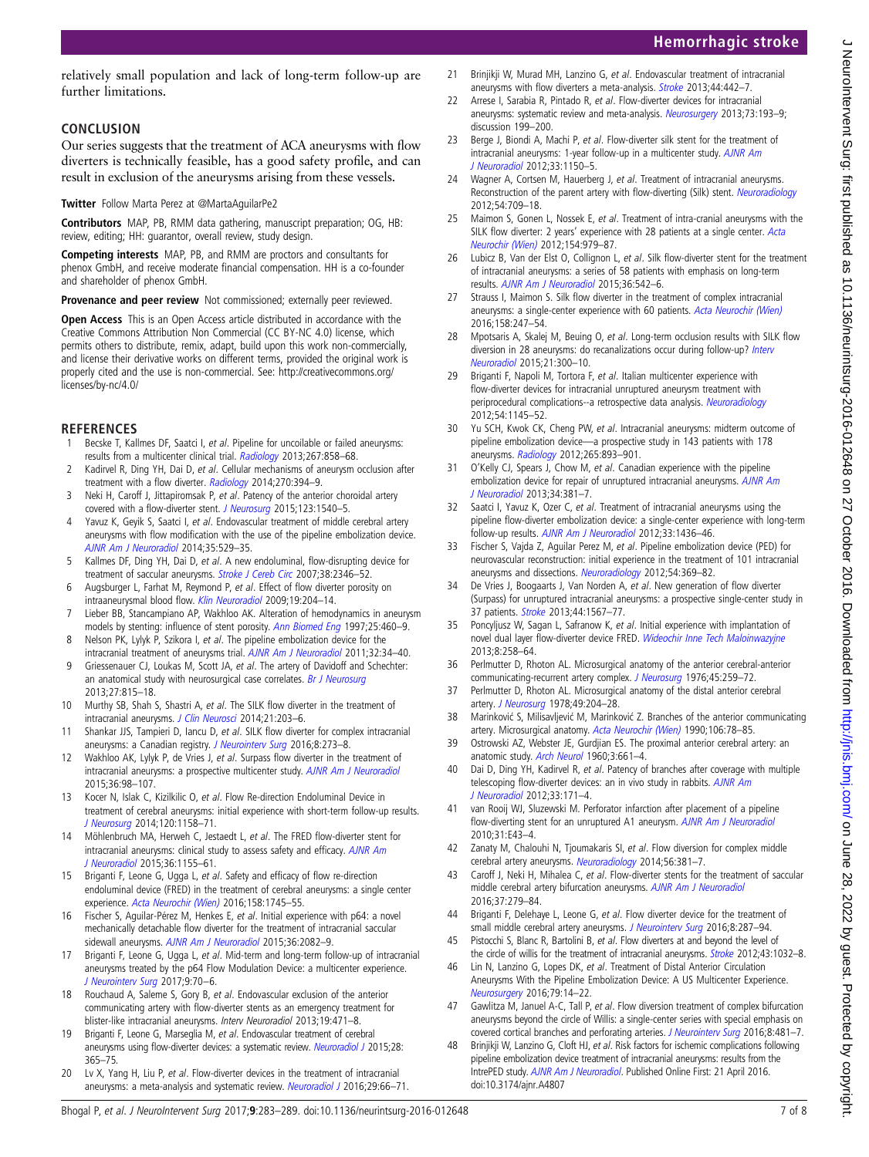<span id="page-6-0"></span>relatively small population and lack of long-term follow-up are further limitations.

#### **CONCLUSION**

Our series suggests that the treatment of ACA aneurysms with flow diverters is technically feasible, has a good safety profile, and can result in exclusion of the aneurysms arising from these vessels.

Twitter Follow Marta Perez at [@MartaAguilarPe2](http://twitter.com/MartaAguilarPe2)

Contributors MAP, PB, RMM data gathering, manuscript preparation; OG, HB: review, editing; HH: guarantor, overall review, study design.

Competing interests MAP, PB, and RMM are proctors and consultants for phenox GmbH, and receive moderate financial compensation. HH is a co-founder and shareholder of phenox GmbH.

Provenance and peer review Not commissioned; externally peer reviewed.

Open Access This is an Open Access article distributed in accordance with the Creative Commons Attribution Non Commercial (CC BY-NC 4.0) license, which permits others to distribute, remix, adapt, build upon this work non-commercially, and license their derivative works on different terms, provided the original work is properly cited and the use is non-commercial. See: [http://creativecommons.org/](http://creativecommons.org/licenses/by-nc/4.0/) [licenses/by-nc/4.0/](http://creativecommons.org/licenses/by-nc/4.0/)

## **REFERENCES**

- Becske T, Kallmes DF, Saatci I, et al. Pipeline for uncoilable or failed aneurysms: results from a multicenter clinical trial. [Radiology](http://dx.doi.org/10.1148/radiol.13120099) 2013;267:858–68.
- 2 Kadirvel R, Ding YH, Dai D, et al. Cellular mechanisms of aneurysm occlusion after treatment with a flow diverter. [Radiology](http://dx.doi.org/10.1148/radiol.13130796) 2014;270:394-9.
- 3 Neki H, Caroff J, Jittapiromsak P, et al. Patency of the anterior choroidal artery covered with a flow-diverter stent. [J Neurosurg](http://dx.doi.org/10.3171/2014.11.JNS141603) 2015;123:1540–5.
- 4 Yavuz K, Geyik S, Saatci I, et al. Endovascular treatment of middle cerebral artery aneurysms with flow modification with the use of the pipeline embolization device. [AJNR Am J Neuroradiol](http://dx.doi.org/10.3174/ajnr.A3692) 2014;35:529–35.
- 5 Kallmes DF, Ding YH, Dai D, et al. A new endoluminal, flow-disrupting device for treatment of saccular aneurysms. [Stroke J Cereb Circ](http://dx.doi.org/10.1161/STROKEAHA.106.479576) 2007;38:2346-52.
- 6 Augsburger L, Farhat M, Reymond P, et al. Effect of flow diverter porosity on intraaneurysmal blood flow. [Klin Neuroradiol](http://dx.doi.org/10.1007/s00062-009-9005-0) 2009;19:204–14.
- 7 Lieber BB, Stancampiano AP, Wakhloo AK. Alteration of hemodynamics in aneurysm models by stenting: influence of stent porosity. [Ann Biomed Eng](http://dx.doi.org/10.1007/BF02684187) 1997;25:460-9.
- 8 Nelson PK, Lylyk P, Szikora I, et al. The pipeline embolization device for the intracranial treatment of aneurysms trial. [AJNR Am J Neuroradiol](http://dx.doi.org/10.3174/ajnr.A2421) 2011;32:34–40.
- 9 Griessenauer CJ, Loukas M, Scott JA, et al. The artery of Davidoff and Schechter: an anatomical study with neurosurgical case correlates. [Br J Neurosurg](http://dx.doi.org/10.3109/02688697.2013.798856) 2013;27:815–18.
- 10 Murthy SB, Shah S, Shastri A, et al. The SILK flow diverter in the treatment of intracranial aneurysms. *I Clin Neurosci* 2014;21:203-6.
- 11 Shankar JJS, Tampieri D, Iancu D, et al. SILK flow diverter for complex intracranial aneurysms: a Canadian registry. J Neurointery Surg 2016;8:273-8.
- 12 Wakhloo AK, Lylyk P, de Vries J, et al. Surpass flow diverter in the treatment of intracranial aneurysms: a prospective multicenter study. [AJNR Am J Neuroradiol](http://dx.doi.org/10.3174/ajnr.A4078) 2015;36:98–107.
- 13 Kocer N, Islak C, Kizilkilic O, et al. Flow Re-direction Endoluminal Device in treatment of cerebral aneurysms: initial experience with short-term follow-up results. [J Neurosurg](http://dx.doi.org/10.3171/2014.1.JNS131442) 2014;120:1158–71.
- 14 Möhlenbruch MA, Herweh C, Jestaedt L, et al. The FRED flow-diverter stent for intracranial aneurysms: clinical study to assess safety and efficacy. [AJNR Am](http://dx.doi.org/10.3174/ajnr.A4251) [J Neuroradiol](http://dx.doi.org/10.3174/ajnr.A4251) 2015;36:1155–61.
- 15 Briganti F, Leone G, Ugga L, et al. Safety and efficacy of flow re-direction endoluminal device (FRED) in the treatment of cerebral aneurysms: a single center experience. [Acta Neurochir \(Wien\)](http://dx.doi.org/10.1007/s00701-016-2875-4) 2016;158:1745–55.
- 16 Fischer S, Aguilar-Pérez M, Henkes E, et al. Initial experience with p64: a novel mechanically detachable flow diverter for the treatment of intracranial saccular sidewall aneurysms. [AJNR Am J Neuroradiol](http://dx.doi.org/10.3174/ajnr.A4420) 2015;36:2082-9.
- 17 Briganti F, Leone G, Ugga L, et al. Mid-term and long-term follow-up of intracranial aneurysms treated by the p64 Flow Modulation Device: a multicenter experience. [J Neurointerv Surg](http://dx.doi.org/10.1136/neurintsurg-2016-012502) 2017;9:70–6.
- 18 Rouchaud A, Saleme S, Gory B, et al. Endovascular exclusion of the anterior communicating artery with flow-diverter stents as an emergency treatment for blister-like intracranial aneurysms. Interv Neuroradiol 2013;19:471–8.
- 19 Briganti F, Leone G, Marseglia M, et al. Endovascular treatment of cerebral aneurysms using flow-diverter devices: a systematic review. [Neuroradiol J](http://dx.doi.org/10.1177/1971400915602803) 2015;28: 365–75.
- 20 Lv X, Yang H, Liu P, et al. Flow-diverter devices in the treatment of intracranial aneurysms: a meta-analysis and systematic review. [Neuroradiol J](http://dx.doi.org/10.1177/1971400915621321) 2016;29:66-71.
- 21 Brinjikji W, Murad MH, Lanzino G, et al. Endovascular treatment of intracranial aneurysms with flow diverters a meta-analysis. [Stroke](http://dx.doi.org/10.1161/STROKEAHA.112.678151) 2013;44:442-7.
- 22 Arrese I, Sarabia R, Pintado R, et al. Flow-diverter devices for intracranial aneurysms: systematic review and meta-analysis. [Neurosurgery](http://dx.doi.org/10.1227/01.neu.0000430297.17961.f1) 2013;73:193-9; discussion 199–200.
- 23 Berge J, Biondi A, Machi P, et al. Flow-diverter silk stent for the treatment of intracranial aneurysms: 1-year follow-up in a multicenter study. [AJNR Am](http://dx.doi.org/10.3174/ajnr.A2907) [J Neuroradiol](http://dx.doi.org/10.3174/ajnr.A2907) 2012;33:1150–5.
- 24 Wagner A, Cortsen M, Hauerberg J, et al. Treatment of intracranial aneurysms. Reconstruction of the parent artery with flow-diverting (Silk) stent. [Neuroradiology](http://dx.doi.org/10.1007/s00234-011-0949-9) 2012;54:709–18.
- 25 Maimon S, Gonen L, Nossek E, et al. Treatment of intra-cranial aneurysms with the SILK flow diverter: 2 years' experience with 28 patients at a single center. [Acta](http://dx.doi.org/10.1007/s00701-012-1316-2) [Neurochir \(Wien\)](http://dx.doi.org/10.1007/s00701-012-1316-2) 2012;154:979–87.
- 26 Lubicz B, Van der Elst O, Collignon L, et al. Silk flow-diverter stent for the treatment of intracranial aneurysms: a series of 58 patients with emphasis on long-term results. [AJNR Am J Neuroradiol](http://dx.doi.org/10.3174/ajnr.A4143) 2015;36:542–6.
- 27 Strauss I, Maimon S. Silk flow diverter in the treatment of complex intracranial aneurysms: a single-center experience with 60 patients. [Acta Neurochir \(Wien\)](http://dx.doi.org/10.1007/s00701-015-2644-9) 2016;158:247–54.
- 28 Mpotsaris A, Skalej M, Beuing O, et al. Long-term occlusion results with SILK flow diversion in 28 aneurysms: do recanalizations occur during follow-up? [Interv](http://dx.doi.org/10.1177/1591019915583119) [Neuroradiol](http://dx.doi.org/10.1177/1591019915583119) 2015;21:300–10.
- 29 Briganti F, Napoli M, Tortora F, et al. Italian multicenter experience with flow-diverter devices for intracranial unruptured aneurysm treatment with periprocedural complications--a retrospective data analysis. [Neuroradiology](http://dx.doi.org/10.1007/s00234-012-1047-3) 2012;54:1145–52.
- 30 Yu SCH, Kwok CK, Cheng PW, et al. Intracranial aneurysms: midterm outcome of pipeline embolization device—a prospective study in 143 patients with 178 aneurysms. [Radiology](http://dx.doi.org/10.1148/radiol.12120422) 2012;265:893-901.
- 31 O'Kelly CJ, Spears J, Chow M, et al. Canadian experience with the pipeline embolization device for repair of unruptured intracranial aneurysms. [AJNR Am](http://dx.doi.org/10.3174/ajnr.A3224) [J Neuroradiol](http://dx.doi.org/10.3174/ajnr.A3224) 2013;34:381–7.
- 32 Saatci I, Yavuz K, Ozer C, et al. Treatment of intracranial aneurysms using the pipeline flow-diverter embolization device: a single-center experience with long-term follow-up results. [AJNR Am J Neuroradiol](http://dx.doi.org/10.3174/ajnr.A3246) 2012;33:1436–46.
- 33 Fischer S, Vajda Z, Aguilar Perez M, et al. Pipeline embolization device (PED) for neurovascular reconstruction: initial experience in the treatment of 101 intracranial aneurysms and dissections. [Neuroradiology](http://dx.doi.org/10.1007/s00234-011-0948-x) 2012;54:369–82.
- 34 De Vries J, Boogaarts J, Van Norden A, et al. New generation of flow diverter (Surpass) for unruptured intracranial aneurysms: a prospective single-center study in 37 patients. [Stroke](http://dx.doi.org/10.1161/STROKEAHA.111.000434) 2013;44:1567–77.
- 35 Poncyljusz W, Sagan L, Safranow K, et al. Initial experience with implantation of novel dual layer flow-diverter device FRED. [Wideochir Inne Tech Maloinwazyjne](http://dx.doi.org/10.5114/wiitm.2011.35794) 2013;8:258–64.
- 36 Perlmutter D, Rhoton AL. Microsurgical anatomy of the anterior cerebral-anterior communicating-recurrent artery complex. [J Neurosurg](http://dx.doi.org/10.3171/jns.1976.45.3.0259) 1976;45:259-72.
- 37 Perlmutter D, Rhoton AL. Microsurgical anatomy of the distal anterior cerebral artery. [J Neurosurg](http://dx.doi.org/10.3171/jns.1978.49.2.0204) 1978;49:204-28.
- 38 Marinković S, Milisavljević M, Marinković Z. Branches of the anterior communicating artery. Microsurgical anatomy. [Acta Neurochir \(Wien\)](http://dx.doi.org/10.1007/BF01809337) 1990;106:78-85.
- 39 Ostrowski AZ, Webster JE, Gurdjian ES. The proximal anterior cerebral artery: an anatomic study. [Arch Neurol](http://dx.doi.org/10.1001/archneur.1960.00450060049005) 1960;3:661–4.
- 40 Dai D, Ding YH, Kadirvel R, et al. Patency of branches after coverage with multiple telescoping flow-diverter devices: an in vivo study in rabbits. [AJNR Am](http://dx.doi.org/10.3174/ajnr.A2879) [J Neuroradiol](http://dx.doi.org/10.3174/ajnr.A2879) 2012;33:171–4.
- 41 van Rooij WJ, Sluzewski M. Perforator infarction after placement of a pipeline flow-diverting stent for an unruptured A1 aneurysm. [AJNR Am J Neuroradiol](http://dx.doi.org/10.3174/ajnr.A2034) 2010;31:E43–4.
- 42 Zanaty M, Chalouhi N, Tjoumakaris SI, et al. Flow diversion for complex middle cerebral artery aneurysms. [Neuroradiology](http://dx.doi.org/10.1007/s00234-014-1339-x) 2014;56:381-7.
- 43 Caroff J, Neki H, Mihalea C, et al. Flow-diverter stents for the treatment of saccular middle cerebral artery bifurcation aneurysms. [AJNR Am J Neuroradiol](http://dx.doi.org/10.3174/ajnr.A4540) 2016;37:279–84.
- 44 Briganti F, Delehaye L, Leone G, et al. Flow diverter device for the treatment of small middle cerebral artery aneurysms. [J Neurointerv Surg](http://dx.doi.org/10.1136/neurintsurg-2014-011460) 2016;8:287-94.
- 45 Pistocchi S, Blanc R, Bartolini B, et al. Flow diverters at and beyond the level of the circle of willis for the treatment of intracranial aneurysms. **[Stroke](http://dx.doi.org/10.1161/STROKEAHA.111.636019) 2012**;43:1032-8.
- 46 Lin N, Lanzino G, Lopes DK, et al. Treatment of Distal Anterior Circulation Aneurysms With the Pipeline Embolization Device: A US Multicenter Experience. [Neurosurgery](http://dx.doi.org/10.1227/01.neu.0000317307.16332.03) 2016;79:14–22.
- 47 Gawlitza M, Januel A-C, Tall P, et al. Flow diversion treatment of complex bifurcation aneurysms beyond the circle of Willis: a single-center series with special emphasis on covered cortical branches and perforating arteries. [J Neurointerv Surg](http://dx.doi.org/10.1136/neurintsurg-2015-011682) 2016;8:481-7.
- Brinjikji W, Lanzino G, Cloft HJ, et al. Risk factors for ischemic complications following pipeline embolization device treatment of intracranial aneurysms: results from the IntrePED study. [AJNR Am J Neuroradiol](http://dx.doi.org/10.3174/ajnr.A4807). Published Online First: 21 April 2016. doi:10.3174/ajnr.A4807